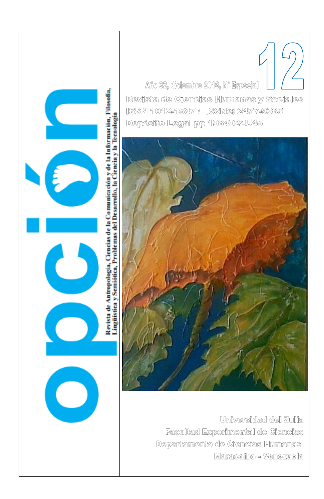Año 32, diciembre 2016, Nº Especial Revista de Ciencias Humanas y Sociales ISSN 1012-1587 / ISSNe: 2477-9385 Depósito Legal pp 198402ZU45

 $\mathcal C$ 

C



Universidad del Zulia Facultad Experimental de Ciencias Departamento de Ciencias Humanas Maracaibo - Venezuela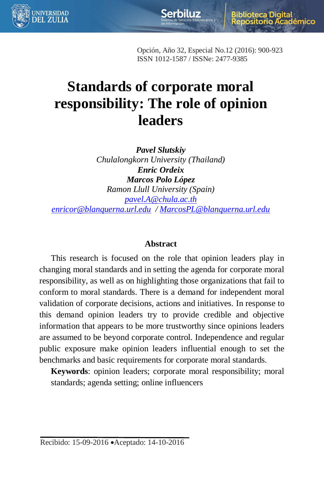

lioteca Digital démico

Opción, Año 32, Especial No.12 (2016): 900-923 ISSN 1012-1587 / ISSNe: 2477-9385

**Serbiluz** 

# **Standards of corporate moral responsibility: The role of opinion leaders**

*Pavel Slutskiy Chulalongkorn University (Thailand) Enric Ordeix Marcos Polo López Ramon Llull University (Spain) [pavel.A@chula.ac.th](mailto:pavel.A@chula.ac.th) [enricor@blanquerna.url.edu](mailto:enricor@blanquerna.url.edu) [/ MarcosPL@blanquerna.url.edu](mailto:MarcosPL@blanquerna.url.edu)*

#### **Abstract**

This research is focused on the role that opinion leaders play in changing moral standards and in setting the agenda for corporate moral responsibility, as well as on highlighting those organizations that fail to conform to moral standards. There is a demand for independent moral validation of corporate decisions, actions and initiatives. In response to this demand opinion leaders try to provide credible and objective information that appears to be more trustworthy since opinions leaders are assumed to be beyond corporate control. Independence and regular public exposure make opinion leaders influential enough to set the benchmarks and basic requirements for corporate moral standards.

**Keywords**: opinion leaders; corporate moral responsibility; moral standards; agenda setting; online influencers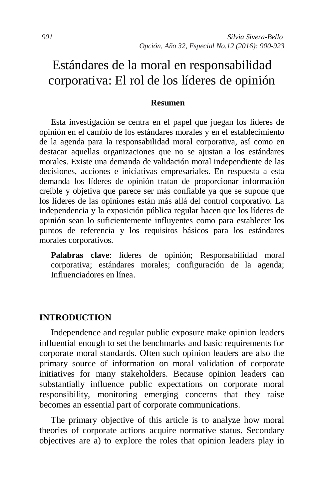# Estándares de la moral en responsabilidad corporativa: El rol de los líderes de opinión

#### **Resumen**

Esta investigación se centra en el papel que juegan los líderes de opinión en el cambio de los estándares morales y en el establecimiento de la agenda para la responsabilidad moral corporativa, así como en destacar aquellas organizaciones que no se ajustan a los estándares morales. Existe una demanda de validación moral independiente de las decisiones, acciones e iniciativas empresariales. En respuesta a esta demanda los líderes de opinión tratan de proporcionar información creíble y objetiva que parece ser más confiable ya que se supone que los líderes de las opiniones están más allá del control corporativo. La independencia y la exposición pública regular hacen que los líderes de opinión sean lo suficientemente influyentes como para establecer los puntos de referencia y los requisitos básicos para los estándares morales corporativos.

Palabras clave: líderes de opinión; Responsabilidad moral corporativa; estándares morales; configuración de la agenda; Influenciadores en línea.

#### **INTRODUCTION**

Independence and regular public exposure make opinion leaders influential enough to set the benchmarks and basic requirements for corporate moral standards. Often such opinion leaders are also the primary source of information on moral validation of corporate initiatives for many stakeholders. Because opinion leaders can substantially influence public expectations on corporate moral responsibility, monitoring emerging concerns that they raise becomes an essential part of corporate communications.

The primary objective of this article is to analyze how moral theories of corporate actions acquire normative status. Secondary objectives are a) to explore the roles that opinion leaders play in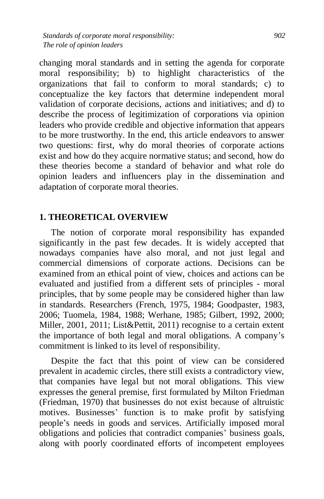changing moral standards and in setting the agenda for corporate moral responsibility; b) to highlight characteristics of the organizations that fail to conform to moral standards; c) to conceptualize the key factors that determine independent moral validation of corporate decisions, actions and initiatives; and d) to describe the process of legitimization of corporations via opinion leaders who provide credible and objective information that appears to be more trustworthy. In the end, this article endeavors to answer two questions: first, why do moral theories of corporate actions exist and how do they acquire normative status; and second, how do these theories become a standard of behavior and what role do opinion leaders and influencers play in the dissemination and adaptation of corporate moral theories.

# **1. THEORETICAL OVERVIEW**

The notion of corporate moral responsibility has expanded significantly in the past few decades. It is widely accepted that nowadays companies have also moral, and not just legal and commercial dimensions of corporate actions. Decisions can be examined from an ethical point of view, choices and actions can be evaluated and justified from a different sets of principles - moral principles, that by some people may be considered higher than law in standards. Researchers (French, 1975, 1984; Goodpaster, 1983, 2006; Tuomela, 1984, 1988; Werhane, 1985; Gilbert, 1992, 2000; Miller, 2001, 2011; List&Pettit, 2011) recognise to a certain extent the importance of both legal and moral obligations. A company's commitment is linked to its level of responsibility.

Despite the fact that this point of view can be considered prevalent in academic circles, there still exists a contradictory view, that companies have legal but not moral obligations. This view expresses the general premise, first formulated by Milton Friedman (Friedman, 1970) that businesses do not exist because of altruistic motives. Businesses' function is to make profit by satisfying people's needs in goods and services. Artificially imposed moral obligations and policies that contradict companies' business goals, along with poorly coordinated efforts of incompetent employees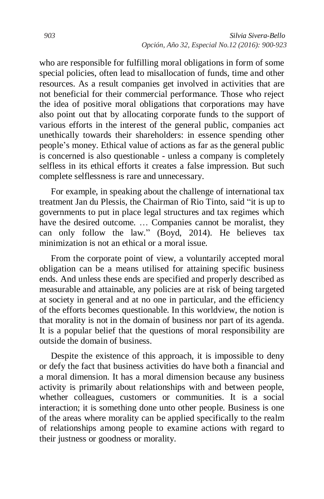who are responsible for fulfilling moral obligations in form of some special policies, often lead to misallocation of funds, time and other resources. As a result companies get involved in activities that are not beneficial for their commercial performance. Those who reject the idea of positive moral obligations that corporations may have also point out that by allocating corporate funds to the support of various efforts in the interest of the general public, companies act unethically towards their shareholders: in essence spending other people's money. Ethical value of actions as far as the general public is concerned is also questionable - unless a company is completely selfless in its ethical efforts it creates a false impression. But such complete selflessness is rare and unnecessary.

For example, in speaking about the challenge of international tax treatment Jan du Plessis, the Chairman of Rio Tinto, said "it is up to governments to put in place legal structures and tax regimes which have the desired outcome. … Companies cannot be moralist, they can only follow the law." (Boyd, 2014). He believes tax minimization is not an ethical or a moral issue.

From the corporate point of view, a voluntarily accepted moral obligation can be a means utilised for attaining specific business ends. And unless these ends are specified and properly described as measurable and attainable, any policies are at risk of being targeted at society in general and at no one in particular, and the efficiency of the efforts becomes questionable. In this worldview, the notion is that morality is not in the domain of business nor part of its agenda. It is a popular belief that the questions of moral responsibility are outside the domain of business.

Despite the existence of this approach, it is impossible to deny or defy the fact that business activities do have both a financial and a moral dimension. It has a moral dimension because any business activity is primarily about relationships with and between people, whether colleagues, customers or communities. It is a social interaction; it is something done unto other people. Business is one of the areas where morality can be applied specifically to the realm of relationships among people to examine actions with regard to their justness or goodness or morality.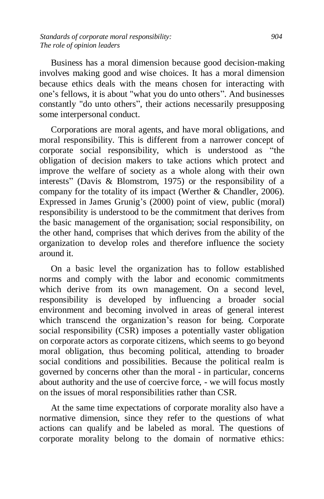Business has a moral dimension because good decision-making involves making good and wise choices. It has a moral dimension because ethics deals with the means chosen for interacting with one's fellows, it is about "what you do unto others". And businesses constantly "do unto others", their actions necessarily presupposing some interpersonal conduct.

Corporations are moral agents, and have moral obligations, and moral responsibility. This is different from a narrower concept of corporate social responsibility, which is understood as "the obligation of decision makers to take actions which protect and improve the welfare of society as a whole along with their own interests" (Davis & Blomstrom, 1975) or the responsibility of a company for the totality of its impact (Werther & Chandler, 2006). Expressed in James Grunig's (2000) point of view, public (moral) responsibility is understood to be the commitment that derives from the basic management of the organisation; social responsibility, on the other hand, comprises that which derives from the ability of the organization to develop roles and therefore influence the society around it.

On a basic level the organization has to follow established norms and comply with the labor and economic commitments which derive from its own management. On a second level, responsibility is developed by influencing a broader social environment and becoming involved in areas of general interest which transcend the organization's reason for being. Corporate social responsibility (CSR) imposes a potentially vaster obligation on corporate actors as corporate citizens, which seems to go beyond moral obligation, thus becoming political, attending to broader social conditions and possibilities. Because the political realm is governed by concerns other than the moral - in particular, concerns about authority and the use of coercive force, - we will focus mostly on the issues of moral responsibilities rather than CSR.

At the same time expectations of corporate morality also have a normative dimension, since they refer to the questions of what actions can qualify and be labeled as moral. The questions of corporate morality belong to the domain of normative ethics: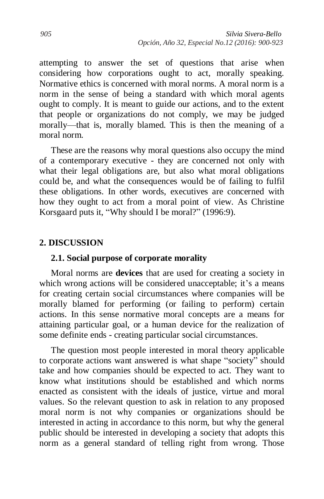attempting to answer the set of questions that arise when considering how corporations ought to act, morally speaking. Normative ethics is concerned with moral norms. A moral norm is a norm in the sense of being a standard with which moral agents ought to comply. It is meant to guide our actions, and to the extent that people or organizations do not comply, we may be judged morally—that is, morally blamed. This is then the meaning of a moral norm.

These are the reasons why moral questions also occupy the mind of a contemporary executive - they are concerned not only with what their legal obligations are, but also what moral obligations could be, and what the consequences would be of failing to fulfil these obligations. In other words, executives are concerned with how they ought to act from a moral point of view. As Christine Korsgaard puts it, "Why should I be moral?" (1996:9).

#### **2. DISCUSSION**

#### **2.1. Social purpose of corporate morality**

Moral norms are **devices** that are used for creating a society in which wrong actions will be considered unacceptable; it's a means for creating certain social circumstances where companies will be morally blamed for performing (or failing to perform) certain actions. In this sense normative moral concepts are a means for attaining particular goal, or a human device for the realization of some definite ends - creating particular social circumstances.

The question most people interested in moral theory applicable to corporate actions want answered is what shape "society" should take and how companies should be expected to act. They want to know what institutions should be established and which norms enacted as consistent with the ideals of justice, virtue and moral values. So the relevant question to ask in relation to any proposed moral norm is not why companies or organizations should be interested in acting in accordance to this norm, but why the general public should be interested in developing a society that adopts this norm as a general standard of telling right from wrong. Those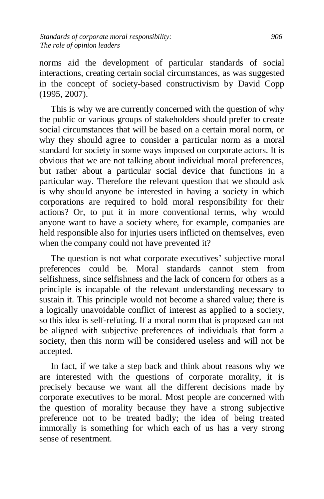norms aid the development of particular standards of social interactions, creating certain social circumstances, as was suggested in the concept of society-based constructivism by David Copp (1995, 2007).

This is why we are currently concerned with the question of why the public or various groups of stakeholders should prefer to create social circumstances that will be based on a certain moral norm, or why they should agree to consider a particular norm as a moral standard for society in some ways imposed on corporate actors. It is obvious that we are not talking about individual moral preferences, but rather about a particular social device that functions in a particular way. Therefore the relevant question that we should ask is why should anyone be interested in having a society in which corporations are required to hold moral responsibility for their actions? Or, to put it in more conventional terms, why would anyone want to have a society where, for example, companies are held responsible also for injuries users inflicted on themselves, even when the company could not have prevented it?

The question is not what corporate executives' subjective moral preferences could be. Moral standards cannot stem from selfishness, since selfishness and the lack of concern for others as a principle is incapable of the relevant understanding necessary to sustain it. This principle would not become a shared value; there is a logically unavoidable conflict of interest as applied to a society, so this idea is self-refuting. If a moral norm that is proposed can not be aligned with subjective preferences of individuals that form a society, then this norm will be considered useless and will not be accepted.

In fact, if we take a step back and think about reasons why we are interested with the questions of corporate morality, it is precisely because we want all the different decisions made by corporate executives to be moral. Most people are concerned with the question of morality because they have a strong subjective preference not to be treated badly; the idea of being treated immorally is something for which each of us has a very strong sense of resentment.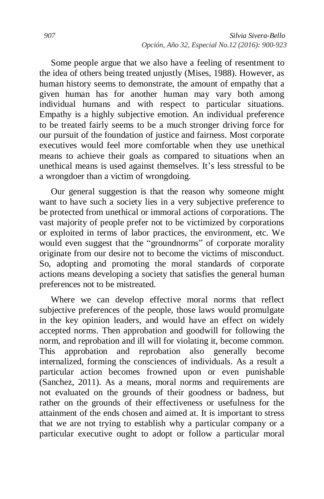Some people argue that we also have a feeling of resentment to the idea of others being treated unjustly (Mises, 1988). However, as human history seems to demonstrate, the amount of empathy that a given human has for another human may vary both among individual humans and with respect to particular situations. Empathy is a highly subjective emotion. An individual preference to be treated fairly seems to be a much stronger driving force for our pursuit of the foundation of justice and fairness. Most corporate executives would feel more comfortable when they use unethical means to achieve their goals as compared to situations when an unethical means is used against themselves. It's less stressful to be a wrongdoer than a victim of wrongdoing.

Our general suggestion is that the reason why someone might want to have such a society lies in a very subjective preference to be protected from unethical or immoral actions of corporations. The vast majority of people prefer not to be victimized by corporations or exploited in terms of labor practices, the environment, etc. We would even suggest that the "groundnorms" of corporate morality originate from our desire not to become the victims of misconduct. So, adopting and promoting the moral standards of corporate actions means developing a society that satisfies the general human preferences not to be mistreated.

Where we can develop effective moral norms that reflect subjective preferences of the people, those laws would promulgate in the key opinion leaders, and would have an effect on widely accepted norms. Then approbation and goodwill for following the norm, and reprobation and ill will for violating it, become common. This approbation and reprobation also generally become internalized, forming the consciences of individuals. As a result a particular action becomes frowned upon or even punishable (Sanchez, 2011). As a means, moral norms and requirements are not evaluated on the grounds of their goodness or badness, but rather on the grounds of their effectiveness or usefulness for the attainment of the ends chosen and aimed at. It is important to stress that we are not trying to establish why a particular company or a particular executive ought to adopt or follow a particular moral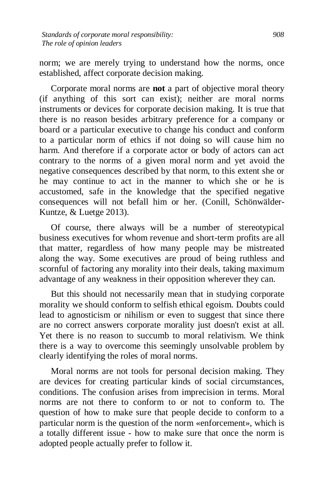norm; we are merely trying to understand how the norms, once established, affect corporate decision making.

Corporate moral norms are **not** a part of objective moral theory (if anything of this sort can exist); neither are moral norms instruments or devices for corporate decision making. It is true that there is no reason besides arbitrary preference for a company or board or a particular executive to change his conduct and conform to a particular norm of ethics if not doing so will cause him no harm. And therefore if a corporate actor or body of actors can act contrary to the norms of a given moral norm and yet avoid the negative consequences described by that norm, to this extent she or he may continue to act in the manner to which she or he is accustomed, safe in the knowledge that the specified negative consequences will not befall him or her. (Conill, Schönwälder-Kuntze, & Luetge 2013).

Of course, there always will be a number of stereotypical business executives for whom revenue and short-term profits are all that matter, regardless of how many people may be mistreated along the way. Some executives are proud of being ruthless and scornful of factoring any morality into their deals, taking maximum advantage of any weakness in their opposition wherever they can.

But this should not necessarily mean that in studying corporate morality we should conform to selfish ethical egoism. Doubts could lead to agnosticism or nihilism or even to suggest that since there are no correct answers corporate morality just doesn't exist at all. Yet there is no reason to succumb to moral relativism. We think there is a way to overcome this seemingly unsolvable problem by clearly identifying the roles of moral norms.

Moral norms are not tools for personal decision making. They are devices for creating particular kinds of social circumstances, conditions. The confusion arises from imprecision in terms. Moral norms are not there to conform to or not to conform to. The question of how to make sure that people decide to conform to a particular norm is the question of the norm «enforcement», which is a totally different issue - how to make sure that once the norm is adopted people actually prefer to follow it.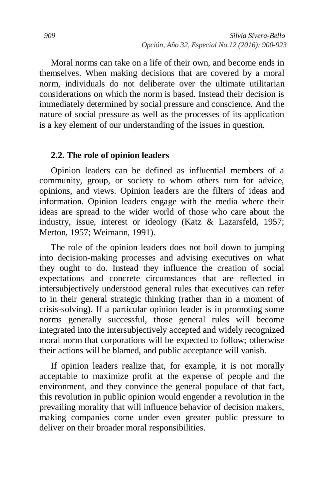Moral norms can take on a life of their own, and become ends in themselves. When making decisions that are covered by a moral norm, individuals do not deliberate over the ultimate utilitarian considerations on which the norm is based. Instead their decision is immediately determined by social pressure and conscience. And the nature of social pressure as well as the processes of its application is a key element of our understanding of the issues in question.

#### **2.2. The role of opinion leaders**

Opinion leaders can be defined as influential members of a community, group, or society to whom others turn for advice, opinions, and views. Opinion leaders are the filters of ideas and information. Opinion leaders engage with the media where their ideas are spread to the wider world of those who care about the industry, issue, interest or ideology (Katz & Lazarsfeld, 1957; Merton, 1957; Weimann, 1991).

The role of the opinion leaders does not boil down to jumping into decision-making processes and advising executives on what they ought to do. Instead they influence the creation of social expectations and concrete circumstances that are reflected in intersubjectively understood general rules that executives can refer to in their general strategic thinking (rather than in a moment of crisis-solving). If a particular opinion leader is in promoting some norms generally successful, those general rules will become integrated into the intersubjectively accepted and widely recognized moral norm that corporations will be expected to follow; otherwise their actions will be blamed, and public acceptance will vanish.

If opinion leaders realize that, for example, it is not morally acceptable to maximize profit at the expense of people and the environment, and they convince the general populace of that fact, this revolution in public opinion would engender a revolution in the prevailing morality that will influence behavior of decision makers, making companies come under even greater public pressure to deliver on their broader moral responsibilities.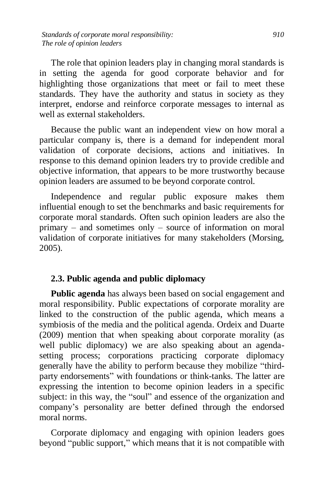The role that opinion leaders play in changing moral standards is in setting the agenda for good corporate behavior and for highlighting those organizations that meet or fail to meet these standards. They have the authority and status in society as they interpret, endorse and reinforce corporate messages to internal as well as external stakeholders.

Because the public want an independent view on how moral a particular company is, there is a demand for independent moral validation of corporate decisions, actions and initiatives. In response to this demand opinion leaders try to provide credible and objective information, that appears to be more trustworthy because opinion leaders are assumed to be beyond corporate control.

Independence and regular public exposure makes them influential enough to set the benchmarks and basic requirements for corporate moral standards. Often such opinion leaders are also the primary – and sometimes only – source of information on moral validation of corporate initiatives for many stakeholders (Morsing, 2005).

# **2.3. Public agenda and public diplomacy**

**Public agenda** has always been based on social engagement and moral responsibility. Public expectations of corporate morality are linked to the construction of the public agenda, which means a symbiosis of the media and the political agenda. Ordeix and Duarte (2009) mention that when speaking about corporate morality (as well public diplomacy) we are also speaking about an agendasetting process; corporations practicing corporate diplomacy generally have the ability to perform because they mobilize "thirdparty endorsements" with foundations or think-tanks. The latter are expressing the intention to become opinion leaders in a specific subject: in this way, the "soul" and essence of the organization and company's personality are better defined through the endorsed moral norms.

Corporate diplomacy and engaging with opinion leaders goes beyond "public support," which means that it is not compatible with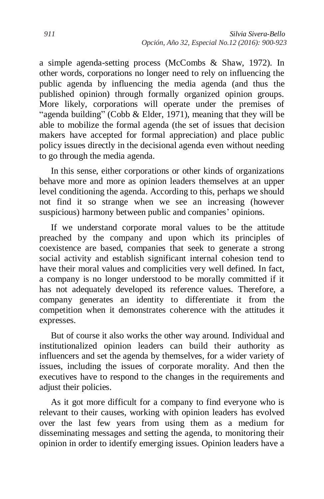a simple agenda-setting process (McCombs & Shaw, 1972). In other words, corporations no longer need to rely on influencing the public agenda by influencing the media agenda (and thus the published opinion) through formally organized opinion groups. More likely, corporations will operate under the premises of "agenda building" (Cobb & Elder, 1971), meaning that they will be able to mobilize the formal agenda (the set of issues that decision makers have accepted for formal appreciation) and place public policy issues directly in the decisional agenda even without needing to go through the media agenda.

In this sense, either corporations or other kinds of organizations behave more and more as opinion leaders themselves at an upper level conditioning the agenda. According to this, perhaps we should not find it so strange when we see an increasing (however suspicious) harmony between public and companies' opinions.

If we understand corporate moral values to be the attitude preached by the company and upon which its principles of coexistence are based, companies that seek to generate a strong social activity and establish significant internal cohesion tend to have their moral values and complicities very well defined. In fact, a company is no longer understood to be morally committed if it has not adequately developed its reference values. Therefore, a company generates an identity to differentiate it from the competition when it demonstrates coherence with the attitudes it expresses.

But of course it also works the other way around. Individual and institutionalized opinion leaders can build their authority as influencers and set the agenda by themselves, for a wider variety of issues, including the issues of corporate morality. And then the executives have to respond to the changes in the requirements and adjust their policies.

As it got more difficult for a company to find everyone who is relevant to their causes, working with opinion leaders has evolved over the last few years from using them as a medium for disseminating messages and setting the agenda, to monitoring their opinion in order to identify emerging issues. Opinion leaders have a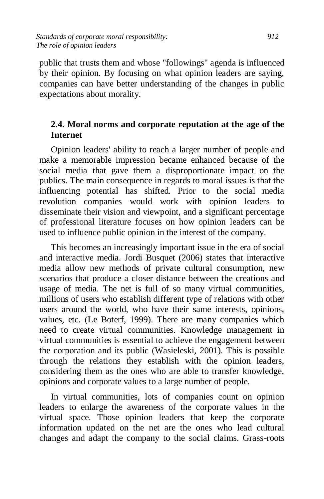public that trusts them and whose "followings" agenda is influenced by their opinion. By focusing on what opinion leaders are saying, companies can have better understanding of the changes in public expectations about morality.

# **2.4. Moral norms and corporate reputation at the age of the Internet**

Opinion leaders' ability to reach a larger number of people and make a memorable impression became enhanced because of the social media that gave them a disproportionate impact on the publics. The main consequence in regards to moral issues is that the influencing potential has shifted. Prior to the social media revolution companies would work with opinion leaders to disseminate their vision and viewpoint, and a significant percentage of professional literature focuses on how opinion leaders can be used to influence public opinion in the interest of the company.

This becomes an increasingly important issue in the era of social and interactive media. Jordi Busquet (2006) states that interactive media allow new methods of private cultural consumption, new scenarios that produce a closer distance between the creations and usage of media. The net is full of so many virtual communities, millions of users who establish different type of relations with other users around the world, who have their same interests, opinions, values, etc. (Le Boterf, 1999). There are many companies which need to create virtual communities. Knowledge management in virtual communities is essential to achieve the engagement between the corporation and its public (Wasieleski, 2001). This is possible through the relations they establish with the opinion leaders, considering them as the ones who are able to transfer knowledge, opinions and corporate values to a large number of people.

In virtual communities, lots of companies count on opinion leaders to enlarge the awareness of the corporate values in the virtual space. Those opinion leaders that keep the corporate information updated on the net are the ones who lead cultural changes and adapt the company to the social claims. Grass-roots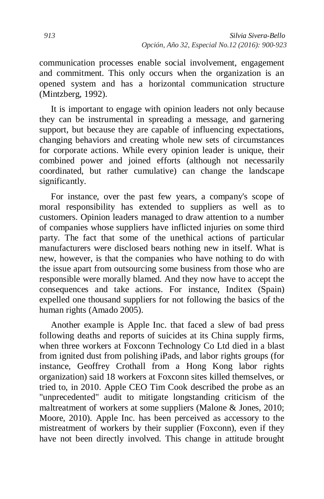communication processes enable social involvement, engagement and commitment. This only occurs when the organization is an opened system and has a horizontal communication structure (Mintzberg, 1992).

It is important to engage with opinion leaders not only because they can be instrumental in spreading a message, and garnering support, but because they are capable of influencing expectations, changing behaviors and creating whole new sets of circumstances for corporate actions. While every opinion leader is unique, their combined power and joined efforts (although not necessarily coordinated, but rather cumulative) can change the landscape significantly.

For instance, over the past few years, a company's scope of moral responsibility has extended to suppliers as well as to customers. Opinion leaders managed to draw attention to a number of companies whose suppliers have inflicted injuries on some third party. The fact that some of the unethical actions of particular manufacturers were disclosed bears nothing new in itself. What is new, however, is that the companies who have nothing to do with the issue apart from outsourcing some business from those who are responsible were morally blamed. And they now have to accept the consequences and take actions. For instance, Inditex (Spain) expelled one thousand suppliers for not following the basics of the human rights (Amado 2005).

Another example is Apple Inc. that faced a slew of bad press following deaths and reports of suicides at its China supply firms, when three workers at Foxconn Technology Co Ltd died in a blast from ignited dust from polishing iPads, and labor rights groups (for instance, Geoffrey Crothall from a Hong Kong labor rights organization) said 18 workers at Foxconn sites killed themselves, or tried to, in 2010. Apple CEO Tim Cook described the probe as an "unprecedented" audit to mitigate longstanding criticism of the maltreatment of workers at some suppliers (Malone & Jones, 2010; Moore, 2010). Apple Inc. has been perceived as accessory to the mistreatment of workers by their supplier (Foxconn), even if they have not been directly involved. This change in attitude brought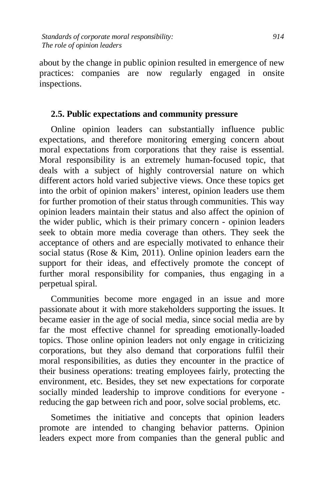about by the change in public opinion resulted in emergence of new practices: companies are now regularly engaged in onsite inspections.

#### **2.5. Public expectations and community pressure**

Online opinion leaders can substantially influence public expectations, and therefore monitoring emerging concern about moral expectations from corporations that they raise is essential. Moral responsibility is an extremely human-focused topic, that deals with a subject of highly controversial nature on which different actors hold varied subjective views. Once these topics get into the orbit of opinion makers' interest, opinion leaders use them for further promotion of their status through communities. This way opinion leaders maintain their status and also affect the opinion of the wider public, which is their primary concern - opinion leaders seek to obtain more media coverage than others. They seek the acceptance of others and are especially motivated to enhance their social status (Rose & Kim, 2011). Online opinion leaders earn the support for their ideas, and effectively promote the concept of further moral responsibility for companies, thus engaging in a perpetual spiral.

Communities become more engaged in an issue and more passionate about it with more stakeholders supporting the issues. It became easier in the age of social media, since social media are by far the most effective channel for spreading emotionally-loaded topics. Those online opinion leaders not only engage in criticizing corporations, but they also demand that corporations fulfil their moral responsibilities, as duties they encounter in the practice of their business operations: treating employees fairly, protecting the environment, etc. Besides, they set new expectations for corporate socially minded leadership to improve conditions for everyone reducing the gap between rich and poor, solve social problems, etc.

Sometimes the initiative and concepts that opinion leaders promote are intended to changing behavior patterns. Opinion leaders expect more from companies than the general public and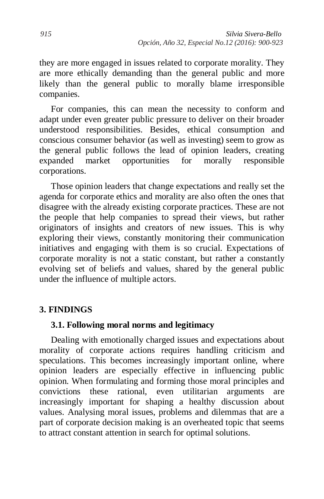they are more engaged in issues related to corporate morality. They are more ethically demanding than the general public and more likely than the general public to morally blame irresponsible companies.

For companies, this can mean the necessity to conform and adapt under even greater public pressure to deliver on their broader understood responsibilities. Besides, ethical consumption and conscious consumer behavior (as well as investing) seem to grow as the general public follows the lead of opinion leaders, creating expanded market opportunities for morally responsible corporations.

Those opinion leaders that change expectations and really set the agenda for corporate ethics and morality are also often the ones that disagree with the already existing corporate practices. These are not the people that help companies to spread their views, but rather originators of insights and creators of new issues. This is why exploring their views, constantly monitoring their communication initiatives and engaging with them is so crucial. Expectations of corporate morality is not a static constant, but rather a constantly evolving set of beliefs and values, shared by the general public under the influence of multiple actors.

# **3. FINDINGS**

#### **3.1. Following moral norms and legitimacy**

Dealing with emotionally charged issues and expectations about morality of corporate actions requires handling criticism and speculations. This becomes increasingly important online, where opinion leaders are especially effective in influencing public opinion. When formulating and forming those moral principles and convictions these rational, even utilitarian arguments are increasingly important for shaping a healthy discussion about values. Analysing moral issues, problems and dilemmas that are a part of corporate decision making is an overheated topic that seems to attract constant attention in search for optimal solutions.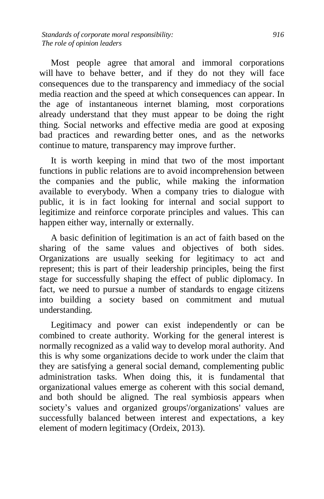Most people agree that amoral and immoral corporations will have to behave better, and if they do not they will face consequences due to the transparency and immediacy of the social media reaction and the speed at which consequences can appear. In the age of instantaneous internet blaming, most corporations already understand that they must appear to be doing the right thing. Social networks and effective media are good at exposing bad practices and rewarding better ones, and as the networks continue to mature, transparency may improve further.

It is worth keeping in mind that two of the most important functions in public relations are to avoid incomprehension between the companies and the public, while making the information available to everybody. When a company tries to dialogue with public, it is in fact looking for internal and social support to legitimize and reinforce corporate principles and values. This can happen either way, internally or externally.

A basic definition of legitimation is an act of faith based on the sharing of the same values and objectives of both sides. Organizations are usually seeking for legitimacy to act and represent; this is part of their leadership principles, being the first stage for successfully shaping the effect of public diplomacy. In fact, we need to pursue a number of standards to engage citizens into building a society based on commitment and mutual understanding.

Legitimacy and power can exist independently or can be combined to create authority. Working for the general interest is normally recognized as a valid way to develop moral authority. And this is why some organizations decide to work under the claim that they are satisfying a general social demand, complementing public administration tasks. When doing this, it is fundamental that organizational values emerge as coherent with this social demand, and both should be aligned. The real symbiosis appears when society's values and organized groups'/organizations' values are successfully balanced between interest and expectations, a key element of modern legitimacy (Ordeix, 2013).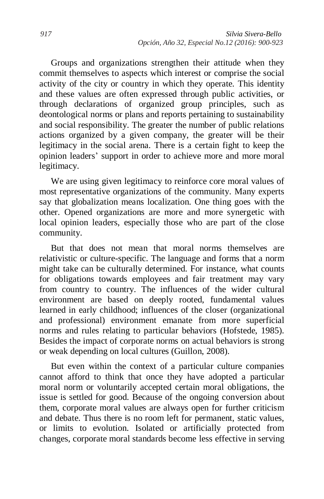Groups and organizations strengthen their attitude when they commit themselves to aspects which interest or comprise the social activity of the city or country in which they operate. This identity and these values are often expressed through public activities, or through declarations of organized group principles, such as deontological norms or plans and reports pertaining to sustainability and social responsibility. The greater the number of public relations actions organized by a given company, the greater will be their legitimacy in the social arena. There is a certain fight to keep the opinion leaders' support in order to achieve more and more moral legitimacy.

We are using given legitimacy to reinforce core moral values of most representative organizations of the community. Many experts say that globalization means localization. One thing goes with the other. Opened organizations are more and more synergetic with local opinion leaders, especially those who are part of the close community.

But that does not mean that moral norms themselves are relativistic or culture-specific. The language and forms that a norm might take can be culturally determined. For instance, what counts for obligations towards employees and fair treatment may vary from country to country. The influences of the wider cultural environment are based on deeply rooted, fundamental values learned in early childhood; influences of the closer (organizational and professional) environment emanate from more superficial norms and rules relating to particular behaviors (Hofstede, 1985). Besides the impact of corporate norms on actual behaviors is strong or weak depending on local cultures (Guillon, 2008).

But even within the context of a particular culture companies cannot afford to think that once they have adopted a particular moral norm or voluntarily accepted certain moral obligations, the issue is settled for good. Because of the ongoing conversion about them, corporate moral values are always open for further criticism and debate. Thus there is no room left for permanent, static values, or limits to evolution. Isolated or artificially protected from changes, corporate moral standards become less effective in serving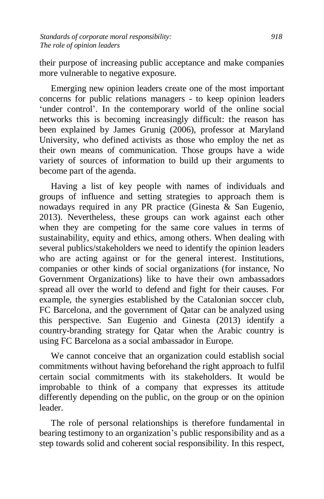their purpose of increasing public acceptance and make companies more vulnerable to negative exposure.

Emerging new opinion leaders create one of the most important concerns for public relations managers - to keep opinion leaders 'under control'. In the contemporary world of the online social networks this is becoming increasingly difficult: the reason has been explained by James Grunig (2006), professor at Maryland University, who defined activists as those who employ the net as their own means of communication. Those groups have a wide variety of sources of information to build up their arguments to become part of the agenda.

Having a list of key people with names of individuals and groups of influence and setting strategies to approach them is nowadays required in any PR practice (Ginesta & San Eugenio, 2013). Nevertheless, these groups can work against each other when they are competing for the same core values in terms of sustainability, equity and ethics, among others. When dealing with several publics/stakeholders we need to identify the opinion leaders who are acting against or for the general interest. Institutions, companies or other kinds of social organizations (for instance, No Government Organizations) like to have their own ambassadors spread all over the world to defend and fight for their causes. For example, the synergies established by the Catalonian soccer club, FC Barcelona, and the government of Qatar can be analyzed using this perspective. San Eugenio and Ginesta (2013) identify a country-branding strategy for Qatar when the Arabic country is using FC Barcelona as a social ambassador in Europe.

We cannot conceive that an organization could establish social commitments without having beforehand the right approach to fulfil certain social commitments with its stakeholders. It would be improbable to think of a company that expresses its attitude differently depending on the public, on the group or on the opinion leader.

The role of personal relationships is therefore fundamental in bearing testimony to an organization's public responsibility and as a step towards solid and coherent social responsibility. In this respect,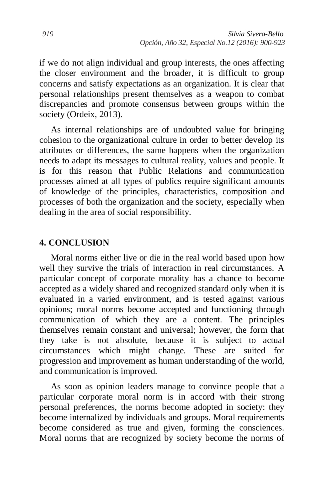if we do not align individual and group interests, the ones affecting the closer environment and the broader, it is difficult to group concerns and satisfy expectations as an organization. It is clear that personal relationships present themselves as a weapon to combat discrepancies and promote consensus between groups within the society (Ordeix, 2013).

As internal relationships are of undoubted value for bringing cohesion to the organizational culture in order to better develop its attributes or differences, the same happens when the organization needs to adapt its messages to cultural reality, values and people. It is for this reason that Public Relations and communication processes aimed at all types of publics require significant amounts of knowledge of the principles, characteristics, composition and processes of both the organization and the society, especially when dealing in the area of social responsibility.

#### **4. CONCLUSION**

Moral norms either live or die in the real world based upon how well they survive the trials of interaction in real circumstances. A particular concept of corporate morality has a chance to become accepted as a widely shared and recognized standard only when it is evaluated in a varied environment, and is tested against various opinions; moral norms become accepted and functioning through communication of which they are a content. The principles themselves remain constant and universal; however, the form that they take is not absolute, because it is subject to actual circumstances which might change. These are suited for progression and improvement as human understanding of the world, and communication is improved.

As soon as opinion leaders manage to convince people that a particular corporate moral norm is in accord with their strong personal preferences, the norms become adopted in society: they become internalized by individuals and groups. Moral requirements become considered as true and given, forming the consciences. Moral norms that are recognized by society become the norms of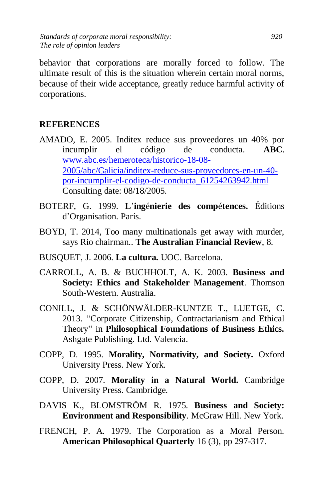behavior that corporations are morally forced to follow. The ultimate result of this is the situation wherein certain moral norms, because of their wide acceptance, greatly reduce harmful activity of corporations.

# **REFERENCES**

- AMADO, E. 2005. Inditex reduce sus proveedores un 40% por incumplir el código de conducta. **ABC**. [www.abc.es/hemeroteca/historico-18-08-](http://www.abc.es/hemeroteca/historico-18-08-2005/abc/Galicia/inditex-reduce-sus-proveedores-en-un-40-por-incumplir-el-codigo-de-conducta_61254263942.html) [2005/abc/Galicia/inditex-reduce-sus-proveedores-en-un-40](http://www.abc.es/hemeroteca/historico-18-08-2005/abc/Galicia/inditex-reduce-sus-proveedores-en-un-40-por-incumplir-el-codigo-de-conducta_61254263942.html) [por-incumplir-el-codigo-de-conducta\\_61254263942.html](http://www.abc.es/hemeroteca/historico-18-08-2005/abc/Galicia/inditex-reduce-sus-proveedores-en-un-40-por-incumplir-el-codigo-de-conducta_61254263942.html)  Consulting date: 08/18/2005.
- BOTERF, G. 1999. **L**'**ing**é**nierie des comp**é**tences.** Éditions d'Organisation. París.
- BOYD, T. 2014, Too many multinationals get away with murder, says Rio chairman.. **The Australian Financial Review**, 8.
- BUSQUET, J. 2006. **La cultura.** UOC. Barcelona.
- CARROLL, A. B. & BUCHHOLT, A. K. 2003. **Business and Society: Ethics and Stakeholder Management**. Thomson South-Western. Australia.
- CONILL, J. & SCHÖNWÄLDER-KUNTZE T., LUETGE, C. 2013. "Corporate Citizenship, Contractarianism and Ethical Theory" in **Philosophical Foundations of Business Ethics.**  Ashgate Publishing. Ltd. Valencia.
- COPP, D. 1995. **Morality, Normativity, and Society.** Oxford University Press. New York.
- COPP, D. 2007. **Morality in a Natural World.** Cambridge University Press. Cambridge.
- DAVIS K., BLOMSTRÖM R. 1975. **Business and Society: Environment and Responsibility**. McGraw Hill. New York.
- FRENCH, P. A. 1979. The Corporation as a Moral Person. **American Philosophical Quarterly** 16 (3), pp 297-317.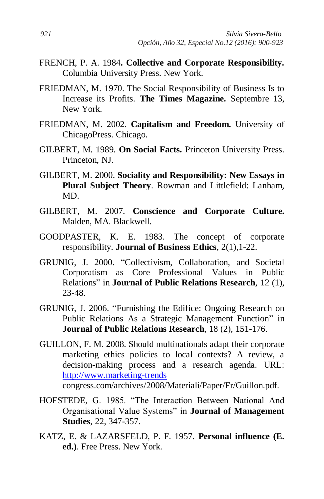- FRENCH, P. A. 1984**. Collective and Corporate Responsibility.** Columbia University Press. New York.
- FRIEDMAN, M. 1970. The Social Responsibility of Business Is to Increase its Profits. **The Times Magazine.** Septembre 13, New York.
- FRIEDMAN, M. 2002. **Capitalism and Freedom.** University of ChicagoPress. Chicago.
- GILBERT, M. 1989. **On Social Facts.** Princeton University Press. Princeton, NJ.
- GILBERT, M. 2000. **Sociality and Responsibility: New Essays in Plural Subject Theory**. Rowman and Littlefield: Lanham, MD.
- GILBERT, M. 2007. **Conscience and Corporate Culture.** Malden, MA. Blackwell.
- GOODPASTER, K. E. 1983. The concept of corporate responsibility. **Journal of Business Ethics**, 2(1),1-22.
- GRUNIG, J. 2000. "Collectivism, Collaboration, and Societal Corporatism as Core Professional Values in Public Relations" in **Journal of Public Relations Research**, 12 (1), 23-48.
- GRUNIG, J. 2006. "Furnishing the Edifice: Ongoing Research on Public Relations As a Strategic Management Function" in **Journal of Public Relations Research**, 18 (2), 151-176.
- GUILLON, F. M. 2008. Should multinationals adapt their corporate marketing ethics policies to local contexts? A review, a decision-making process and a research agenda. URL: [http://www.marketing-trends](http://www.marketing-trends/) congress.com/archives/2008/Materiali/Paper/Fr/Guillon.pdf.
- HOFSTEDE, G. 1985. "The Interaction Between National And Organisational Value Systems" in **Journal of Management Studies**, 22, 347-357.
- KATZ, E. & LAZARSFELD, P. F. 1957. **Personal influence (E. ed.)**. Free Press. New York.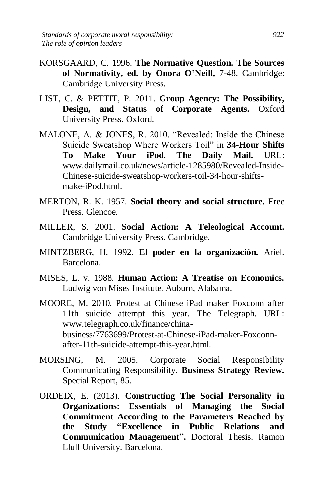- KORSGAARD, C. 1996. **The Normative Question. The Sources of Normativity, ed. by Onora O'Neill,** 7-48. Cambridge: Cambridge University Press.
- LIST, C. & PETTIT, P. 2011. **Group Agency: The Possibility, Design, and Status of Corporate Agents.** Oxford University Press. Oxford.
- MALONE, A. & JONES, R. 2010. "Revealed: Inside the Chinese Suicide Sweatshop Where Workers Toil" in **34-Hour Shifts To Make Your iPod. The Daily Mail.** URL: www.dailymail.co.uk/news/article-1285980/Revealed-Inside-Chinese-suicide-sweatshop-workers-toil-34-hour-shiftsmake-iPod.html.
- MERTON, R. K. 1957. **Social theory and social structure.** Free Press. Glencoe.
- MILLER, S. 2001. **Social Action: A Teleological Account.** Cambridge University Press. Cambridge.
- MINTZBERG, H. 1992. **El poder en la organización.** Ariel. Barcelona.
- MISES, L. v. 1988. **Human Action: A Treatise on Economics.** Ludwig von Mises Institute. Auburn, Alabama.
- MOORE, M. 2010. Protest at Chinese iPad maker Foxconn after 11th suicide attempt this year. The Telegraph. URL: www.telegraph.co.uk/finance/chinabusiness/7763699/Protest-at-Chinese-iPad-maker-Foxconnafter-11th-suicide-attempt-this-year.html.
- MORSING, M. 2005. Corporate Social Responsibility Communicating Responsibility. **Business Strategy Review.** Special Report, 85.
- ORDEIX, E. (2013). **Constructing The Social Personality in Organizations: Essentials of Managing the Social Commitment According to the Parameters Reached by the Study "Excellence in Public Relations and Communication Management".** Doctoral Thesis. Ramon Llull University. Barcelona.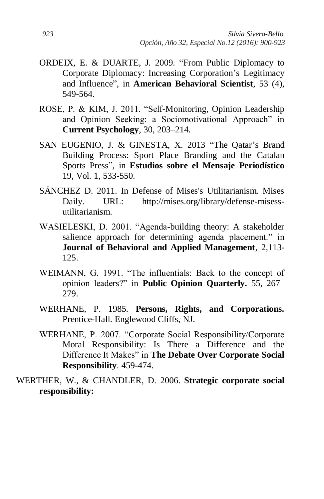- ORDEIX, E. & DUARTE, J. 2009. "From Public Diplomacy to Corporate Diplomacy: Increasing Corporation's Legitimacy and Influence", in **American Behavioral Scientist**, 53 (4), 549-564.
- ROSE, P. & KIM, J. 2011. "Self-Monitoring, Opinion Leadership and Opinion Seeking: a Sociomotivational Approach" in **Current Psychology**, 30, 203–214.
- SAN EUGENIO, J. & GINESTA, X. 2013 "The Qatar's Brand Building Process: Sport Place Branding and the Catalan Sports Press", in **Estudios sobre el Mensaje Periodístico** 19, Vol. 1, 533-550.
- SÁNCHEZ D. 2011. In Defense of Mises's Utilitarianism. Mises Daily. URL: http://mises.org/library/defense-misessutilitarianism.
- WASIELESKI, D. 2001. "Agenda-building theory: A stakeholder salience approach for determining agenda placement." in **Journal of Behavioral and Applied Management**, 2,113- 125.
- WEIMANN, G. 1991. "The influentials: Back to the concept of opinion leaders?" in **Public Opinion Quarterly.** 55, 267– 279.
- WERHANE, P. 1985. **Persons, Rights, and Corporations.** Prentice-Hall. Englewood Cliffs, NJ.
- WERHANE, P. 2007. "Corporate Social Responsibility/Corporate Moral Responsibility: Is There a Difference and the Difference It Makes" in **The Debate Over Corporate Social Responsibility**. 459-474.
- WERTHER, W., & CHANDLER, D. 2006. **Strategic corporate social responsibility:**